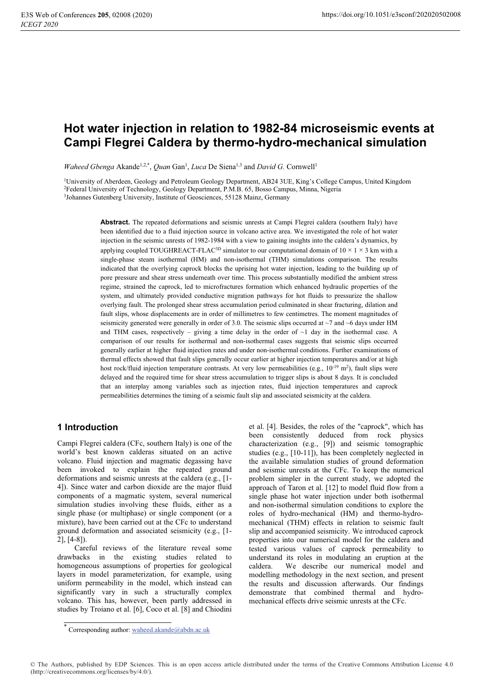# Hot water injection in relation to 1982-84 microseismic events at Campi Flegrei Caldera by thermo-hydro-mechanical simulation

Waheed Gbenga Akande<sup>1,2,\*</sup>, Quan Gan<sup>1</sup>, Luca De Siena<sup>1,3</sup> and David G. Cornwell<sup>1</sup>

<sup>1</sup>University of Aberdeen, Geology and Petroleum Geology Department, AB24 3UE, King's College Campus, United Kingdom <sup>2</sup>Federal University of Technology, Geology Department, P.M.B. 65, Bosso Campus, Minna, Nigeria <sup>3</sup>Johannes Gutenberg University, Institute of Geosciences, 55128 Mainz, Germany

> **Abstract.** The repeated deformations and seismic unrests at Campi Flegrei caldera (southern Italy) have been identified due to a fluid injection source in volcano active area. We investigated the role of hot water injection in the seismic unrests of 1982-1984 with a view to gaining insights into the caldera's dynamics, by applying coupled TOUGHREACT-FLAC<sup>3D</sup> simulator to our computational domain of  $10 \times 1 \times 3$  km with a single-phase steam isothermal (HM) and non-isothermal (THM) simulations comparison. The results indicated that the overlying caprock blocks the uprising hot water injection, leading to the building up of pore pressure and shear stress underneath over time. This process substantially modified the ambient stress regime, strained the caprock, led to microfractures formation which enhanced hydraulic properties of the system, and ultimately provided conductive migration pathways for hot fluids to pressurize the shallow overlying fault. The prolonged shear stress accumulation period culminated in shear fracturing, dilation and fault slips, whose displacements are in order of millimetres to few centimetres. The moment magnitudes of seismicity generated were generally in order of 3.0. The seismic slips occurred at  $\sim$ 7 and  $\sim$ 6 days under HM and THM cases, respectively – giving a time delay in the order of  $\sim$ 1 day in the isothermal case. A comparison of our results for isothermal and non-isothermal cases suggests that seismic slips occurred generally earlier at higher fluid injection rates and under non-isothermal conditions. Further examinations of thermal effects showed that fault slips generally occur earlier at higher injection temperatures and/or at high host rock/fluid injection temperature contrasts. At very low permeabilities (e.g.,  $10^{-19}$  m<sup>2</sup>), fault slips were delayed and the required time for shear stress accumulation to trigger slips is about 8 days. It is concluded that an interplay among variables such as injection rates, fluid injection temperatures and caprock permeabilities determines the timing of a seismic fault slip and associated seismicity at the caldera.

# 1 Introduction

Campi Flegrei caldera (CFc, southern Italy) is one of the world's best known calderas situated on an active volcano. Fluid injection and magmatic degassing have been invoked to explain the repeated ground deformations and seismic unrests at the caldera (e.g., [1-4]). Since water and carbon dioxide are the major fluid components of a magmatic system, several numerical simulation studies involving these fluids, either as a single phase (or multiphase) or single component (or a mixture), have been carried out at the CFc to understand ground deformation and associated seismicity (e.g., [1- $2$ ], [4-8]).

Careful reviews of the literature reveal some drawbacks in the existing studies related to homogeneous assumptions of properties for geological layers in model parameterization, for example, using uniform permeability in the model, which instead can significantly vary in such a structurally complex volcano. This has, however, been partly addressed in studies by Troiano et al. [6], Coco et al. [8] and Chiodini et al. [4]. Besides, the roles of the "caprock", which has been consistently deduced from rock physics characterization (e.g., [9]) and seismic tomographic studies (e.g., [10-11]), has been completely neglected in the available simulation studies of ground deformation and seismic unrests at the CFc. To keep the numerical problem simpler in the current study, we adopted the approach of Taron et al. [12] to model fluid flow from a single phase hot water injection under both isothermal and non-isothermal simulation conditions to explore the roles of hydro-mechanical (HM) and thermo-hydromechanical (THM) effects in relation to seismic fault slip and accompanied seismicity. We introduced caprock properties into our numerical model for the caldera and tested various values of caprock permeability to understand its roles in modulating an eruption at the caldera. We describe our numerical model and modelling methodology in the next section, and present the results and discussion afterwards. Our findings demonstrate that combined thermal and hydromechanical effects drive seismic unrests at the CFc.

© The Authors, published by EDP Sciences. This is an open access article distributed under the terms of the Creative Commons Attribution License 4.0 (http://creativecommons.org/licenses/by/4.0/).

<sup>\*</sup> Corresponding author: waheed.akande@abdn.ac.uk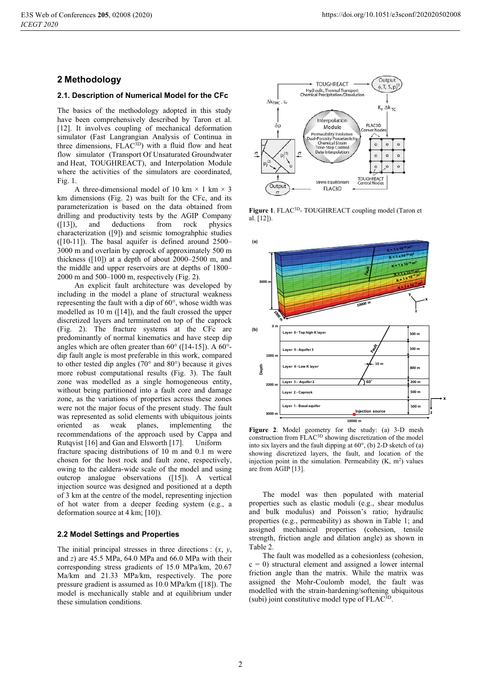## 2 Methodology

#### 2.1. Description of Numerical Model for the CFc

The basics of the methodology adopted in this study have been comprehensively described by Taron et al. [12]. It involves coupling of mechanical deformation simulator (Fast Langrangian Analysis of Continua in three dimensions, FLAC<sup>3D</sup>) with a fluid flow and heat flow simulator (Transport Of Unsaturated Groundwater and Heat, TOUGHREACT), and Interpolation Module where the activities of the simulators are coordinated, Fig.  $1$ .

A three-dimensional model of 10 km  $\times$  1 km  $\times$  3 km dimensions (Fig. 2) was built for the CFc, and its parameterization is based on the data obtained from drilling and productivity tests by the AGIP Company  $([13]),$ and deductions from rock physics characterization ([9]) and seismic tomograhphic studies  $([10-11])$ . The basal aquifer is defined around 2500-3000 m and overlain by caprock of approximately 500 m thickness ( $[10]$ ) at a depth of about 2000–2500 m, and the middle and upper reservoirs are at depths of 1800–  $2000$  m and  $500-1000$  m, respectively (Fig. 2).

An explicit fault architecture was developed by including in the model a plane of structural weakness representing the fault with a dip of 60°, whose width was modelled as 10 m  $([14])$ , and the fault crossed the upper discretized layers and terminated on top of the caprock (Fig. 2). The fracture systems at the CFc are predominantly of normal kinematics and have steep dip angles which are often greater than  $60^{\circ}$  ([14-15]). A  $60^{\circ}$ dip fault angle is most preferable in this work, compared to other tested dip angles  $(70^{\circ}$  and  $80^{\circ})$  because it gives more robust computational results (Fig. 3). The fault zone was modelled as a single homogeneous entity, without being partitioned into a fault core and damage zone, as the variations of properties across these zones were not the major focus of the present study. The fault was represented as solid elements with ubiquitous joints oriented as weak planes, implementing the recommendations of the approach used by Cappa and Rutqvist [16] and Gan and Elsworth [17]. **Uniform** fracture spacing distributions of 10 m and 0.1 m were chosen for the host rock and fault zone, respectively. owing to the caldera-wide scale of the model and using outcrop analogue observations ([15]). A vertical injection source was designed and positioned at a depth of 3 km at the centre of the model, representing injection of hot water from a deeper feeding system (e.g., a deformation source at 4 km; [10]).

#### 2.2 Model Settings and Properties

The initial principal stresses in three directions :  $(x, y, z)$ and  $z$ ) are 45.5 MPa, 64.0 MPa and 66.0 MPa with their corresponding stress gradients of 15.0 MPa/km, 20.67 Ma/km and 21.33 MPa/km, respectively. The pore pressure gradient is assumed as 10.0 MPa/km ([18]). The model is mechanically stable and at equilibrium under these simulation conditions.



Figure 1. FLAC<sup>3D</sup>-TOUGHREACT coupling model (Taron et al. [12]).



Figure 2. Model geometry for the study: (a) 3-D mesh construction from FLAC<sup>3D</sup> showing discretization of the model into six layers and the fault dipping at 60°, (b) 2-D sketch of (a) showing discretized layers, the fault, and location of the injection point in the simulation. Permeability  $(K, m<sup>2</sup>)$  values are from AGIP [13].

The model was then populated with material properties such as elastic moduli (e.g., shear modulus and bulk modulus) and Poisson's ratio; hydraulic properties (e.g., permeability) as shown in Table 1; and assigned mechanical properties (cohesion, tensile strength, friction angle and dilation angle) as shown in Table 2.

The fault was modelled as a cohesionless (cohesion,  $c = 0$ ) structural element and assigned a lower internal friction angle than the matrix. While the matrix was assigned the Mohr-Coulomb model, the fault was modelled with the strain-hardening/softening ubiquitous (subi) joint constitutive model type of FLAC<sup>3D</sup>.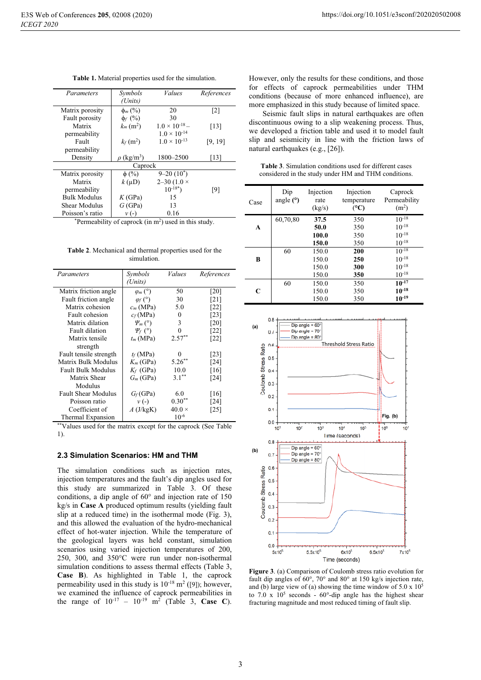| Parameters          | Symbols                     | <i>Values</i>           | References        |  |  |
|---------------------|-----------------------------|-------------------------|-------------------|--|--|
|                     | (Units)                     |                         |                   |  |  |
| Matrix porosity     | $\phi_m$ (%)                | 20                      | $\lceil 2 \rceil$ |  |  |
| Fault porosity      | $\phi_f$ (%)                | 30                      |                   |  |  |
| Matrix              | $k_m$ (m <sup>2</sup> )     | $1.0 \times 10^{-18} -$ | [13]              |  |  |
| permeability        |                             | $1.0 \times 10^{-14}$   |                   |  |  |
| Fault               | $k_f(m^2)$                  | $1.0 \times 10^{-13}$   | [9, 19]           |  |  |
| permeability        |                             |                         |                   |  |  |
| Density             | $\rho$ (kg/m <sup>3</sup> ) | 1800-2500               | [13]              |  |  |
| Caprock             |                             |                         |                   |  |  |
| Matrix porosity     | $\phi$ (%)                  | $9 - 20(10^*)$          |                   |  |  |
| Matrix              | $k(\mu D)$                  | 2–30 (1.0 $\times$      |                   |  |  |
| permeability        |                             | $10^{-18^*}$            | [9]               |  |  |
| <b>Bulk Modulus</b> | K(GPa)                      | 15                      |                   |  |  |
| Shear Modulus       | G(GPa)                      | 13                      |                   |  |  |
| Poisson's ratio     | $\nu$ (-)                   | 0.16                    |                   |  |  |

Table 1. Material properties used for the simulation.

 $*$ Permeability of caprock (in m<sup>2</sup>) used in this study.

Table 2. Mechanical and thermal properties used for the simulation.

| Parameters                 | Symbols         | Values        | References         |
|----------------------------|-----------------|---------------|--------------------|
|                            | (Units)         |               |                    |
| Matrix friction angle      | $\varphi_m$ (°) | 50            | [20]               |
| Fault friction angle       | $\varphi_f$ (°) | 30            | [21]               |
| Matrix cohesion            | $c_m$ (MPa)     | 5.0           | [22]               |
| Fault cohesion             | $c_f(MPa)$      | 0             | [23]               |
| Matrix dilation            | $\Psi_m$ (°)    | 3             | [20]               |
| Fault dilation             | $\Psi_f$ (°)    | 0             | [22]               |
| Matrix tensile             | $t_m$ (MPa)     | $2.57***$     | [22]               |
| strength                   |                 |               |                    |
| Fault tensile strength     | $t_f$ (MPa)     | 0             | $\lceil 23 \rceil$ |
| Matrix Bulk Modulus        | $K_m$ (GPa)     | $5.26***$     | [24]               |
| <b>Fault Bulk Modulus</b>  | $K_f$ (GPa)     | 10.0          | [16]               |
| Matrix Shear               | $G_m$ (GPa)     | $3.1***$      | [24]               |
| Modulus                    |                 |               |                    |
| <b>Fault Shear Modulus</b> | $G_f$ (GPa)     | 6.0           | [16]               |
| Poisson ratio              | $\nu$ (-)       | $0.30**$      | [24]               |
| Coefficient of             | $A$ (J/kgK)     | $40.0 \times$ | [25]               |
| Thermal Expansion          |                 | $10^{-6}$     |                    |

\*\*Values used for the matrix except for the caprock (See Table  $1$ ).

#### 2.3 Simulation Scenarios: HM and THM

The simulation conditions such as injection rates, injection temperatures and the fault's dip angles used for this study are summarized in Table 3. Of these conditions, a dip angle of 60° and injection rate of 150 kg/s in Case A produced optimum results (yielding fault slip at a reduced time) in the isothermal mode (Fig. 3), and this allowed the evaluation of the hydro-mechanical effect of hot-water injection. While the temperature of the geological layers was held constant, simulation scenarios using varied injection temperatures of 200, 250, 300, and 350°C were run under non-isothermal simulation conditions to assess thermal effects (Table 3, Case B). As highlighted in Table 1, the caprock permeability used in this study is  $10^{-18}$  m<sup>2</sup> ([9]); however, we examined the influence of caprock permeabilities in the range of  $10^{-17}$  –  $10^{-19}$  m<sup>2</sup> (Table 3, Case C). However, only the results for these conditions, and those for effects of caprock permeabilities under THM conditions (because of more enhanced influence), are more emphasized in this study because of limited space.

Seismic fault slips in natural earthquakes are often discontinuous owing to a slip weakening process. Thus, we developed a friction table and used it to model fault slip and seismicity in line with the friction laws of natural earthquakes (e.g., [26]).

Table 3. Simulation conditions used for different cases considered in the study under HM and THM conditions.

| Case | Dip<br>angle $(°)$ | Injection<br>rate<br>(kg/s) | Injection<br>temperature<br>$({}^{\circ}C)$ | Caprock<br>Permeability<br>(m <sup>2</sup> ) |
|------|--------------------|-----------------------------|---------------------------------------------|----------------------------------------------|
|      | 60,70,80           | 37.5                        | 350                                         | $10^{-18}$                                   |
| A    |                    | 50.0                        | 350                                         | $10^{-18}$                                   |
|      |                    | 100.0                       | 350                                         | $10^{-18}$                                   |
|      |                    | 150.0                       | 350                                         | $10^{-18}$                                   |
|      | 60                 | 150.0                       | 200                                         | $10^{-18}$                                   |
| B    |                    | 150.0                       | 250                                         | $10^{-18}$                                   |
|      |                    | 150.0                       | 300                                         | $10^{-18}$                                   |
|      |                    | 150.0                       | 350                                         | $10^{-18}$                                   |
|      | 60                 | 150.0                       | 350                                         | $10^{-17}$                                   |
| C    |                    | 150.0                       | 350                                         | $10^{-18}$                                   |
|      |                    | 150.0                       | 350                                         | $10^{-19}$                                   |



Figure 3. (a) Comparison of Coulomb stress ratio evolution for fault dip angles of  $60^{\circ}$ , 70° and 80° at 150 kg/s injection rate, and (b) large view of (a) showing the time window of  $5.0 \times 10^5$ to 7.0 x  $10^5$  seconds -  $60^{\circ}$ -dip angle has the highest shear fracturing magnitude and most reduced timing of fault slip.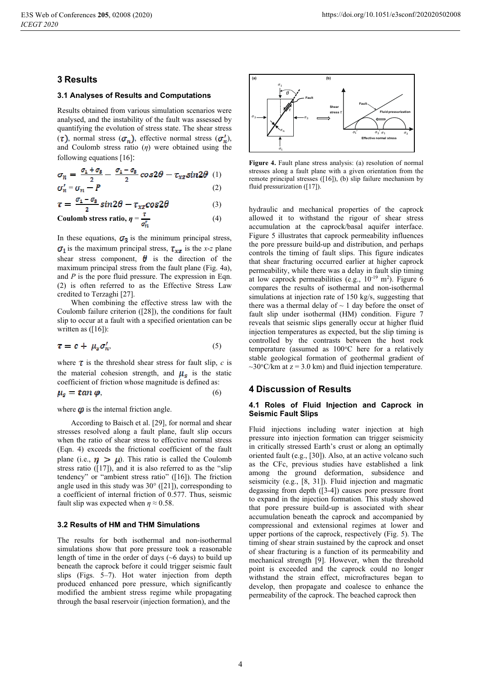### **3 Results**

#### 3.1 Analyses of Results and Computations

Results obtained from various simulation scenarios were analysed, and the instability of the fault was assessed by quantifying the evolution of stress state. The shear stress  $(\tau)$ , normal stress  $(\sigma_n)$ , effective normal stress  $(\sigma'_n)$ , and Coulomb stress ratio  $(\eta)$  were obtained using the following equations  $[16]$ :

$$
\sigma_n = \frac{\sigma_1 + \sigma_2}{2} - \frac{\sigma_1 - \sigma_2}{2} \cos 2\theta - \tau_{xz} \sin 2\theta \quad (1)
$$
  

$$
\sigma'_n = \sigma_n - P \qquad (2)
$$

$$
\tau = \frac{\sigma_1 - \sigma_3}{\sigma_1} \sin 2\theta - \tau_{xx} \cos 2\theta \tag{3}
$$

$$
Coulomb stress ratio, \eta = \frac{\tau}{\sigma_n^{\ell}}
$$
 (4)

In these equations,  $\sigma_3$  is the minimum principal stress,  $\sigma_1$  is the maximum principal stress,  $\tau_{xx}$  is the x-z plane shear stress component,  $\theta$  is the direction of the maximum principal stress from the fault plane (Fig. 4a), and  $P$  is the pore fluid pressure. The expression in Eqn. (2) is often referred to as the Effective Stress Law credited to Terzaghi [27].

When combining the effective stress law with the Coulomb failure criterion  $(28)$ , the conditions for fault slip to occur at a fault with a specified orientation can be written as  $([16])$ :

$$
\tau = c + \mu_s \sigma'_n,\tag{5}
$$

where  $\tau$  is the threshold shear stress for fault slip, c is the material cohesion strength, and  $\mu_s$  is the static coefficient of friction whose magnitude is defined as:

$$
\mu_s = \tan \varphi, \tag{6}
$$

#### where  $\boldsymbol{\varphi}$  is the internal friction angle.

According to Baisch et al. [29], for normal and shear stresses resolved along a fault plane, fault slip occurs when the ratio of shear stress to effective normal stress (Eqn. 4) exceeds the frictional coefficient of the fault plane (i.e.,  $\eta > \mu$ ). This ratio is called the Coulomb stress ratio  $([17])$ , and it is also referred to as the "slip tendency" or "ambient stress ratio" ([16]). The friction angle used in this study was  $30^{\circ}$  ([21]), corresponding to a coefficient of internal friction of 0.577. Thus, seismic fault slip was expected when  $n \approx 0.58$ .

### 3.2 Results of HM and THM Simulations

The results for both isothermal and non-isothermal simulations show that pore pressure took a reasonable length of time in the order of days  $({\sim}6 \text{ days})$  to build up beneath the caprock before it could trigger seismic fault slips (Figs. 5–7). Hot water injection from depth produced enhanced pore pressure, which significantly modified the ambient stress regime while propagating through the basal reservoir (injection formation), and the



Figure 4. Fault plane stress analysis: (a) resolution of normal stresses along a fault plane with a given orientation from the remote principal stresses  $(16)$ , (b) slip failure mechanism by fluid pressurization ([17]).

hydraulic and mechanical properties of the caprock allowed it to withstand the rigour of shear stress accumulation at the caprock/basal aquifer interface. Figure 5 illustrates that caprock permeability influences the pore pressure build-up and distribution, and perhaps controls the timing of fault slips. This figure indicates that shear fracturing occurred earlier at higher caprock permeability, while there was a delay in fault slip timing at low caprock permeabilities (e.g.,  $10^{-19}$  m<sup>2</sup>). Figure 6 compares the results of isothermal and non-isothermal simulations at injection rate of 150 kg/s, suggesting that there was a thermal delay of  $\sim$  1 day before the onset of fault slip under isothermal (HM) condition. Figure 7 reveals that seismic slips generally occur at higher fluid injection temperatures as expected, but the slip timing is controlled by the contrasts between the host rock temperature (assumed as 100°C here for a relatively stable geological formation of geothermal gradient of ~30 $\degree$ C/km at z = 3.0 km) and fluid injection temperature.

### **4 Discussion of Results**

#### 4.1 Roles of Fluid Injection and Caprock in **Seismic Fault Slips**

Fluid injections including water injection at high pressure into injection formation can trigger seismicity in critically stressed Earth's crust or along an optimally oriented fault (e.g., [30]). Also, at an active volcano such as the CFc, previous studies have established a link among the ground deformation, subsidence and seismicity (e.g., [8, 31]). Fluid injection and magmatic degassing from depth  $(3-4)$  causes pore pressure front to expand in the injection formation. This study showed that pore pressure build-up is associated with shear accumulation beneath the caprock and accompanied by compressional and extensional regimes at lower and upper portions of the caprock, respectively (Fig. 5). The timing of shear strain sustained by the caprock and onset of shear fracturing is a function of its permeability and mechanical strength [9]. However, when the threshold point is exceeded and the caprock could no longer withstand the strain effect, microfractures began to develop, then propagate and coalesce to enhance the permeability of the caprock. The beached caprock then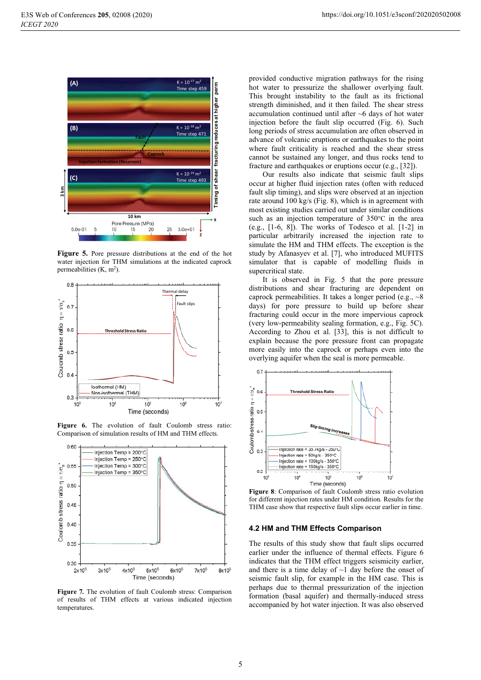

Figure 5. Pore pressure distributions at the end of the hot water injection for THM simulations at the indicated caprock permeabilities  $(K, m<sup>2</sup>)$ .



Figure 6. The evolution of fault Coulomb stress ratio: Comparison of simulation results of HM and THM effects.



Figure 7. The evolution of fault Coulomb stress: Comparison of results of THM effects at various indicated injection temperatures.

provided conductive migration pathways for the rising hot water to pressurize the shallower overlying fault. This brought instability to the fault as its frictional strength diminished, and it then failed. The shear stress accumulation continued until after  $\sim$ 6 days of hot water injection before the fault slip occurred (Fig. 6). Such long periods of stress accumulation are often observed in advance of volcanic eruptions or earthquakes to the point where fault criticality is reached and the shear stress cannot be sustained any longer, and thus rocks tend to fracture and earthquakes or eruptions occur (e.g., [32]).

Our results also indicate that seismic fault slips occur at higher fluid injection rates (often with reduced fault slip timing), and slips were observed at an injection rate around 100 kg/s (Fig. 8), which is in agreement with most existing studies carried out under similar conditions such as an injection temperature of 350°C in the area (e.g.,  $[1-6, 8]$ ). The works of Todesco et al.  $[1-2]$  in particular arbitrarily increased the injection rate to simulate the HM and THM effects. The exception is the study by Afanasyev et al. [7], who introduced MUFITS simulator that is capable of modelling fluids in supercritical state.

It is observed in Fig. 5 that the pore pressure distributions and shear fracturing are dependent on caprock permeabilities. It takes a longer period (e.g.,  $\sim$ 8) days) for pore pressure to build up before shear fracturing could occur in the more impervious caprock (very low-permeability sealing formation, e.g., Fig. 5C). According to Zhou et al. [33], this is not difficult to explain because the pore pressure front can propagate more easily into the caprock or perhaps even into the overlying aquifer when the seal is more permeable.



Figure 8: Comparison of fault Coulomb stress ratio evolution for different injection rates under HM condition. Results for the THM case show that respective fault slips occur earlier in time.

#### 4.2 HM and THM Effects Comparison

The results of this study show that fault slips occurred earlier under the influence of thermal effects. Figure 6 indicates that the THM effect triggers seismicity earlier, and there is a time delay of  $\sim$ 1 day before the onset of seismic fault slip, for example in the HM case. This is perhaps due to thermal pressurization of the injection formation (basal aquifer) and thermally-induced stress accompanied by hot water injection. It was also observed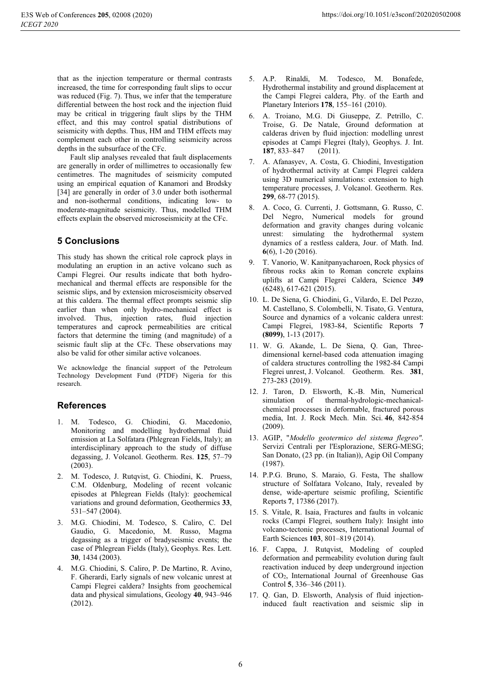that as the injection temperature or thermal contrasts increased, the time for corresponding fault slips to occur was reduced (Fig. 7). Thus, we infer that the temperature differential between the host rock and the injection fluid may be critical in triggering fault slips by the THM effect, and this may control spatial distributions of seismicity with depths. Thus, HM and THM effects may complement each other in controlling seismicity across depths in the subsurface of the CFc.

Fault slip analyses revealed that fault displacements are generally in order of millimetres to occasionally few centimetres. The magnitudes of seismicity computed using an empirical equation of Kanamori and Brodsky [34] are generally in order of 3.0 under both isothermal and non-isothermal conditions, indicating low- to moderate-magnitude seismicity. Thus, modelled THM effects explain the observed microseismicity at the CFc.

# **5 Conclusions**

This study has shown the critical role caprock plays in modulating an eruption in an active volcano such as Campi Flegrei. Our results indicate that both hydromechanical and thermal effects are responsible for the seismic slips, and by extension microseismicity observed at this caldera. The thermal effect prompts seismic slip earlier than when only hydro-mechanical effect is involved. Thus, injection rates, fluid injection temperatures and caprock permeabilities are critical factors that determine the timing (and magnitude) of a seismic fault slip at the CFc. These observations may also be valid for other similar active volcanoes.

We acknowledge the financial support of the Petroleum Technology Development Fund (PTDF) Nigeria for this research.

# **References**

- 1. M. Todesco, G. Chiodini, G. Macedonio, Monitoring and modelling hydrothermal fluid emission at La Solfatara (Phlegrean Fields, Italy); an interdisciplinary approach to the study of diffuse degassing, J. Volcanol. Geotherm. Res. 125, 57-79  $(2003)$ .
- 2. M. Todesco, J. Rutqvist, G. Chiodini, K. Pruess, C.M. Oldenburg, Modeling of recent volcanic episodes at Phlegrean Fields (Italy): geochemical variations and ground deformation, Geothermics 33, 531-547 (2004).
- 3. M.G. Chiodini, M. Todesco, S. Caliro, C. Del Gaudio, G. Macedonio, M. Russo, Magma degassing as a trigger of bradyseismic events; the case of Phlegrean Fields (Italy), Geophys. Res. Lett. 30, 1434 (2003).
- 4. M.G. Chiodini, S. Caliro, P. De Martino, R. Avino, F. Gherardi, Early signals of new volcanic unrest at Campi Flegrei caldera? Insights from geochemical data and physical simulations, Geology 40, 943–946  $(2012).$
- 5. A.P. Rinaldi, M. Todesco, M. Bonafede, Hydrothermal instability and ground displacement at the Campi Flegrei caldera, Phy. of the Earth and Planetary Interiors 178, 155-161 (2010).
- 6. A. Troiano, M.G. Di Giuseppe, Z. Petrillo, C. Troise, G. De Natale, Ground deformation at calderas driven by fluid injection: modelling unrest episodes at Campi Flegrei (Italy), Geophys. J. Int. 187, 833-847  $(2011).$
- 7. A. Afanasyev, A. Costa, G. Chiodini, Investigation of hydrothermal activity at Campi Flegrei caldera using 3D numerical simulations: extension to high temperature processes, J. Volcanol. Geotherm. Res. 299, 68-77 (2015).
- 8. A. Coco, G. Currenti, J. Gottsmann, G. Russo, C. Del Negro, Numerical models for ground deformation and gravity changes during volcanic unrest: simulating the hydrothermal system dynamics of a restless caldera, Jour. of Math. Ind.  $6(6)$ , 1-20 (2016).
- $9<sub>1</sub>$ T. Vanorio, W. Kanitpanyacharoen, Rock physics of fibrous rocks akin to Roman concrete explains uplifts at Campi Flegrei Caldera, Science 349  $(6248), 617-621 (2015).$
- 10. L. De Siena, G. Chiodini, G., Vilardo, E. Del Pezzo, M. Castellano, S. Colombelli, N. Tisato, G. Ventura, Source and dynamics of a volcanic caldera unrest: Campi Flegrei, 1983-84, Scientific Reports 7  $(8099), 1-13(2017).$
- 11. W. G. Akande, L. De Siena, Q. Gan, Threedimensional kernel-based coda attenuation imaging of caldera structures controlling the 1982-84 Campi Flegrei unrest, J. Volcanol. Geotherm. Res. 381, 273-283 (2019).
- 12. J. Taron, D. Elsworth, K.-B. Min, Numerical simulation of thermal-hydrologic-mechanicalchemical processes in deformable, fractured porous media, Int. J. Rock Mech. Min. Sci. 46, 842-854  $(2009).$
- 13. AGIP, "Modello geotermico del sistema flegreo". Servizi Centrali per l'Esplorazione, SERG-MESG; San Donato, (23 pp. (in Italian)), Agip Oil Company  $(1987).$
- 14. P.P.G. Bruno, S. Maraio, G. Festa, The shallow structure of Solfatara Volcano, Italy, revealed by dense, wide-aperture seismic profiling. Scientific Reports 7, 17386 (2017).
- 15. S. Vitale, R. Isaia, Fractures and faults in volcanic rocks (Campi Flegrei, southern Italy): Insight into volcano-tectonic processes, International Journal of Earth Sciences 103, 801-819 (2014).
- 16. F. Cappa, J. Rutqvist, Modeling of coupled deformation and permeability evolution during fault reactivation induced by deep underground injection of CO<sub>2</sub>, International Journal of Greenhouse Gas Control 5, 336–346 (2011).
- 17. Q. Gan, D. Elsworth, Analysis of fluid injectioninduced fault reactivation and seismic slip in